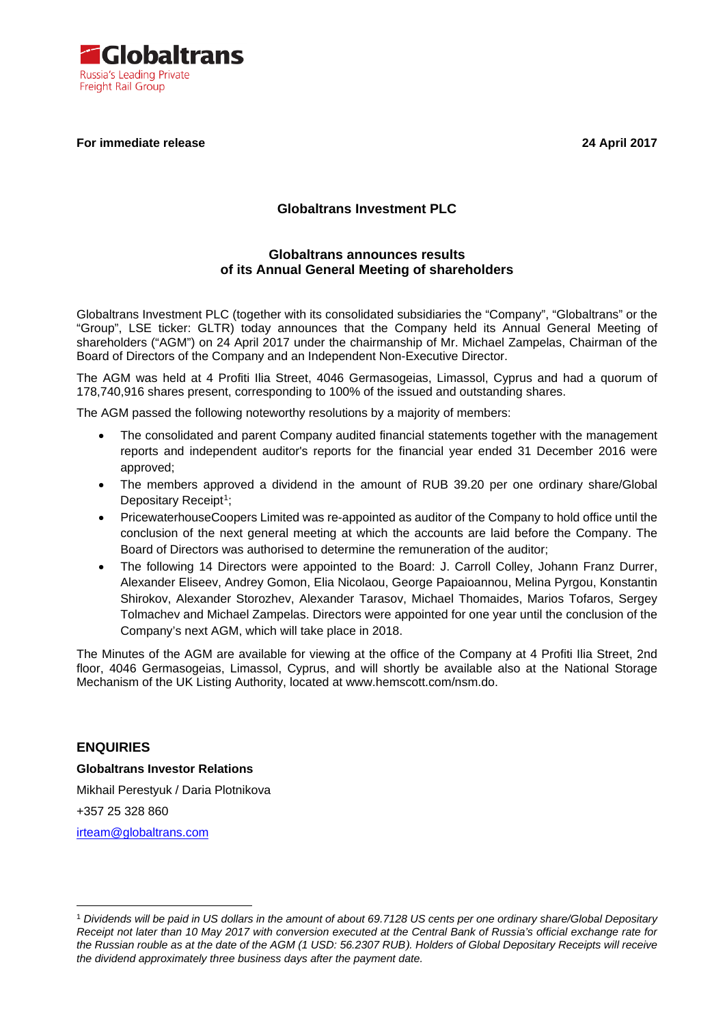

#### **For immediate release 24 April 2017**

## **Globaltrans Investment PLC**

### **Globaltrans announces results of its Annual General Meeting of shareholders**

Globaltrans Investment PLC (together with its consolidated subsidiaries the "Company", "Globaltrans" or the "Group", LSE ticker: GLTR) today announces that the Company held its Annual General Meeting of shareholders ("AGM") on 24 April 2017 under the chairmanship of Mr. Michael Zampelas, Chairman of the Board of Directors of the Company and an Independent Non-Executive Director.

The AGM was held at 4 Profiti Ilia Street, 4046 Germasogeias, Limassol, Cyprus and had a quorum of 178,740,916 shares present, corresponding to 100% of the issued and outstanding shares.

The AGM passed the following noteworthy resolutions by a majority of members:

- The consolidated and parent Company audited financial statements together with the management reports and independent auditor's reports for the financial year ended 31 December 2016 were approved;
- The members approved a dividend in the amount of RUB 39.20 per one ordinary share/Global Depositary Receipt<sup>1</sup>;
- PricewaterhouseCoopers Limited was re-appointed as auditor of the Company to hold office until the conclusion of the next general meeting at which the accounts are laid before the Company. The Board of Directors was authorised to determine the remuneration of the auditor;
- The following 14 Directors were appointed to the Board: J. Carroll Colley, Johann Franz Durrer, Alexander Eliseev, Andrey Gomon, Elia Nicolaou, George Papaioannou, Melina Pyrgou, Konstantin Shirokov, Alexander Storozhev, Alexander Tarasov, Michael Thomaides, Marios Tofaros, Sergey Tolmachev and Michael Zampelas. Directors were appointed for one year until the conclusion of the Company's next AGM, which will take place in 2018.

The Minutes of the AGM are available for viewing at the office of the Company at 4 Profiti Ilia Street, 2nd floor, 4046 Germasogeias, Limassol, Cyprus, and will shortly be available also at the National Storage Mechanism of the UK Listing Authority, located at www.hemscott.com/nsm.do.

#### **ENQUIRIES**

#### **Globaltrans Investor Relations**

Mikhail Perestyuk / Daria Plotnikova

+357 25 328 860

 $\overline{a}$ 

[irteam@globaltrans.com](mailto:irteam@globaltrans.com)

<span id="page-0-0"></span><sup>1</sup> *Dividends will be paid in US dollars in the amount of about 69.7128 US cents per one ordinary share/Global Depositary Receipt not later than 10 May 2017 with conversion executed at the Central Bank of Russia's official exchange rate for the Russian rouble as at the date of the AGM (1 USD: 56.2307 RUB). Holders of Global Depositary Receipts will receive the dividend approximately three business days after the payment date.*